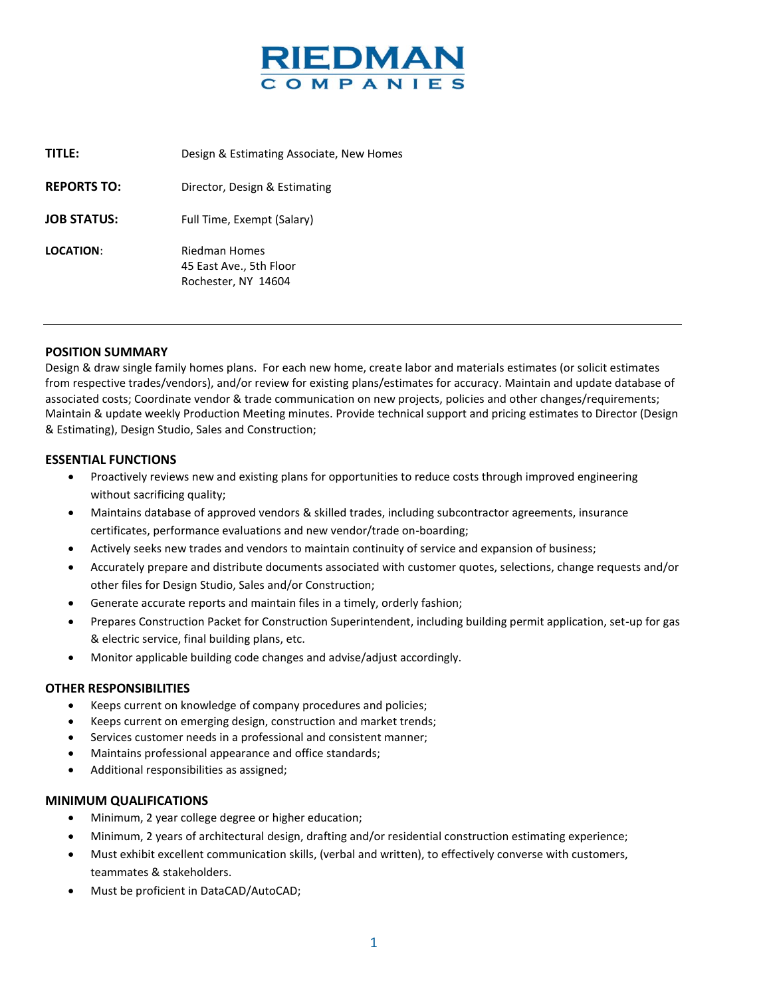

| TITLE:             | Design & Estimating Associate, New Homes                        |
|--------------------|-----------------------------------------------------------------|
| <b>REPORTS TO:</b> | Director, Design & Estimating                                   |
| <b>JOB STATUS:</b> | Full Time, Exempt (Salary)                                      |
| LOCATION:          | Riedman Homes<br>45 East Ave., 5th Floor<br>Rochester, NY 14604 |

#### **POSITION SUMMARY**

Design & draw single family homes plans. For each new home, create labor and materials estimates (or solicit estimates from respective trades/vendors), and/or review for existing plans/estimates for accuracy. Maintain and update database of associated costs; Coordinate vendor & trade communication on new projects, policies and other changes/requirements; Maintain & update weekly Production Meeting minutes. Provide technical support and pricing estimates to Director (Design & Estimating), Design Studio, Sales and Construction;

#### **ESSENTIAL FUNCTIONS**

- Proactively reviews new and existing plans for opportunities to reduce costs through improved engineering without sacrificing quality;
- Maintains database of approved vendors & skilled trades, including subcontractor agreements, insurance certificates, performance evaluations and new vendor/trade on-boarding;
- Actively seeks new trades and vendors to maintain continuity of service and expansion of business;
- Accurately prepare and distribute documents associated with customer quotes, selections, change requests and/or other files for Design Studio, Sales and/or Construction;
- Generate accurate reports and maintain files in a timely, orderly fashion;
- Prepares Construction Packet for Construction Superintendent, including building permit application, set-up for gas & electric service, final building plans, etc.
- Monitor applicable building code changes and advise/adjust accordingly.

### **OTHER RESPONSIBILITIES**

- Keeps current on knowledge of company procedures and policies;
- Keeps current on emerging design, construction and market trends;
- Services customer needs in a professional and consistent manner;
- Maintains professional appearance and office standards;
- Additional responsibilities as assigned;

### **MINIMUM QUALIFICATIONS**

- Minimum, 2 year college degree or higher education;
- Minimum, 2 years of architectural design, drafting and/or residential construction estimating experience;
- Must exhibit excellent communication skills, (verbal and written), to effectively converse with customers, teammates & stakeholders.
- Must be proficient in DataCAD/AutoCAD;